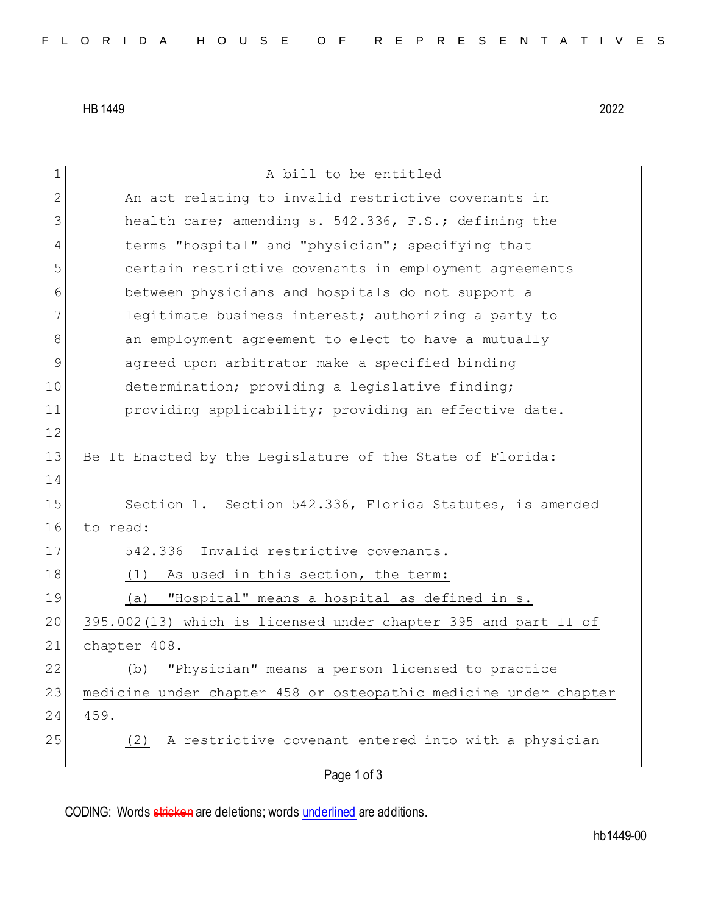HB 1449 2022

Page 1 of 3 1 A bill to be entitled 2 An act relating to invalid restrictive covenants in 3 health care; amending s. 542.336, F.S.; defining the 4 terms "hospital" and "physician"; specifying that 5 certain restrictive covenants in employment agreements 6 between physicians and hospitals do not support a 7 **legitimate business interest; authorizing a party to** 8 an employment agreement to elect to have a mutually 9 agreed upon arbitrator make a specified binding 10 determination; providing a legislative finding; 11 providing applicability; providing an effective date. 12 13 Be It Enacted by the Legislature of the State of Florida: 14 15 Section 1. Section 542.336, Florida Statutes, is amended 16 to read: 17 542.336 Invalid restrictive covenants.-18 (1) As used in this section, the term: 19 (a) "Hospital" means a hospital as defined in s. 20 395.002(13) which is licensed under chapter 395 and part II of 21 chapter 408. 22 (b) "Physician" means a person licensed to practice 23 medicine under chapter 458 or osteopathic medicine under chapter 24 459. 25 (2) A restrictive covenant entered into with a physician

CODING: Words stricken are deletions; words underlined are additions.

hb1449-00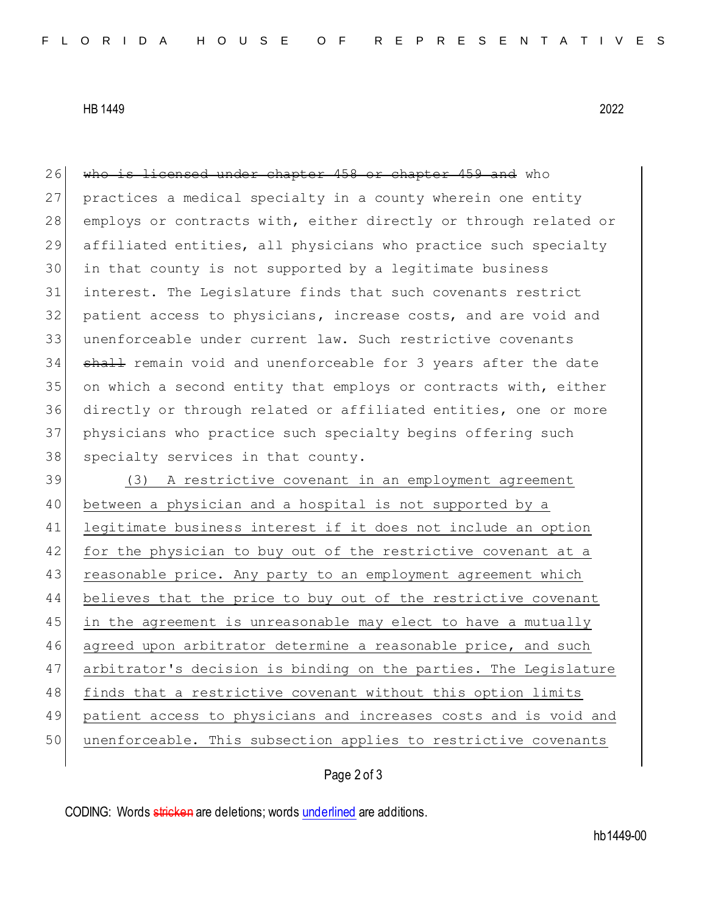HB 1449 2022

26 who is licensed under chapter 458 or chapter 459 and who 27 practices a medical specialty in a county wherein one entity 28 employs or contracts with, either directly or through related or affiliated entities, all physicians who practice such specialty in that county is not supported by a legitimate business interest. The Legislature finds that such covenants restrict patient access to physicians, increase costs, and are void and unenforceable under current law. Such restrictive covenants 34 shall remain void and unenforceable for 3 years after the date on which a second entity that employs or contracts with, either directly or through related or affiliated entities, one or more physicians who practice such specialty begins offering such 38 specialty services in that county.

39 (3) A restrictive covenant in an employment agreement 40 between a physician and a hospital is not supported by a 41 legitimate business interest if it does not include an option 42 for the physician to buy out of the restrictive covenant at a 43 reasonable price. Any party to an employment agreement which 44 believes that the price to buy out of the restrictive covenant 45 in the agreement is unreasonable may elect to have a mutually 46 agreed upon arbitrator determine a reasonable price, and such 47 arbitrator's decision is binding on the parties. The Legislature 48 finds that a restrictive covenant without this option limits 49 patient access to physicians and increases costs and is void and 50 unenforceable. This subsection applies to restrictive covenants

## Page 2 of 3

CODING: Words stricken are deletions; words underlined are additions.